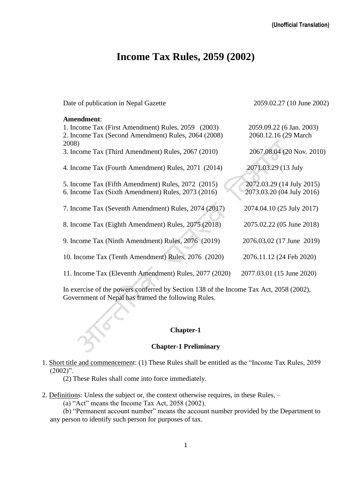# **Income Tax Rules, 2059 (2002)**

Date of publication in Nepal Gazette 2059.02.27 (10 June 2002)

## **Amendment**:

| 1. Income Tax (First Amendment) Rules, 2059 (2003)     | 2059.09.22 (6 Jan. 2003)  |
|--------------------------------------------------------|---------------------------|
| 2. Income Tax (Second Amendment) Rules, 2064 (2008)    | 2060.12.16 (29 March)     |
| 2008)                                                  |                           |
| 3. Income Tax (Third Amendment) Rules, 2067 (2010)     | 2067.08.04 (20 Nov. 2010) |
|                                                        |                           |
| 4. Income Tax (Fourth Amendment) Rules, 2071 (2014)    | 2071.03.29 (13 July       |
|                                                        |                           |
| 5. Income Tax (Fifth Amendment) Rules, 2072 (2015)     | 2072.03.29 (14 July 2015) |
| 6. Income Tax (Sixth Amendment) Rules, 2073 (2016)     | 2073.03.20 (04 July 2016) |
|                                                        |                           |
| 7. Income Tax (Seventh Amendment) Rules, 2074 (2017)   | 2074.04.10 (25 July 2017) |
| 8. Income Tax (Eighth Amendment) Rules, 2075 (2018)    | 2075.02.22 (05 June 2018) |
|                                                        |                           |
| 9. Income Tax (Ninth Amendment) Rules, 2076 (2019)     | 2076.03.02 (17 June 2019) |
|                                                        |                           |
| 10. Income Tax (Tenth Amendment) Rules, 2076 (2020)    | 2076.11.12 (24 Feb 2020)  |
|                                                        |                           |
| 11. Income Tax (Eleventh Amendment) Rules, 2077 (2020) | 2077.03.01 (15 June 2020) |
|                                                        |                           |

In exercise of the powers conferred by Section 138 of the Income Tax Act, 2058 (2002), Government of Nepal has framed the following Rules.

#### **Chapter-1**

#### **Chapter-1 Preliminary**

1. Short title and commencement: (1) These Rules shall be entitled as the "Income Tax Rules, 2059  $(2002)$ ".

(2) These Rules shall come into force immediately.

2. Definitions: Unless the subject or, the context otherwise requires, in these Rules, –

(a) "Act" means the Income Tax Act, 2058 (2002).

(b) "Permanent account number" means the account number provided by the Department to any person to identify such person for purposes of tax.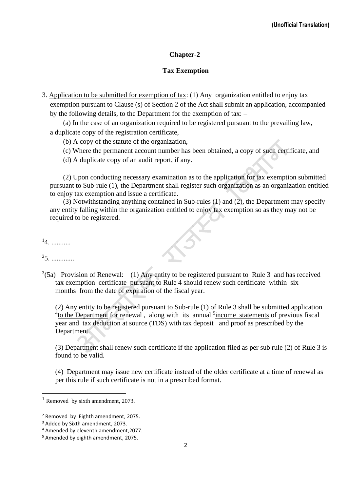# **Chapter-2**

## **Tax Exemption**

3. Application to be submitted for exemption of tax: (1) Any organization entitled to enjoy tax exemption pursuant to Clause (s) of Section 2 of the Act shall submit an application, accompanied by the following details, to the Department for the exemption of tax: –

(a) In the case of an organization required to be registered pursuant to the prevailing law, a duplicate copy of the registration certificate,

- (b) A copy of the statute of the organization,
- (c) Where the permanent account number has been obtained, a copy of such certificate, and
- (d) A duplicate copy of an audit report, if any.

(2) Upon conducting necessary examination as to the application for tax exemption submitted pursuant to Sub-rule (1), the Department shall register such organization as an organization entitled to enjoy tax exemption and issue a certificate.

(3) Notwithstanding anything contained in Sub-rules (1) and (2), the Department may specify any entity falling within the organization entitled to enjoy tax exemption so as they may not be required to be registered.

 $^{1}4.$  ............

 $25.$  ...............

 $3(5a)$  Provision of Renewal: (1) Any entity to be registered pursuant to Rule 3 and has received tax exemption certificate pursuant to Rule 4 should renew such certificate within six months from the date of expiration of the fiscal year.

(2) Any entity to be registered pursuant to Sub-rule (1) of Rule 3 shall be submitted application <sup>4</sup>to the Department for renewal, along with its annual <sup>5</sup> income statements of previous fiscal year and tax deduction at source (TDS) with tax deposit and proof as prescribed by the Department.

(3) Department shall renew such certificate if the application filed as per sub rule (2) of Rule 3 is found to be valid.

(4) Department may issue new certificate instead of the older certificate at a time of renewal as per this rule if such certificate is not in a prescribed format.

 $<sup>1</sup>$  Removed by sixth amendment, 2073.</sup>

<sup>2</sup> Removed by Eighth amendment, 2075.

<sup>&</sup>lt;sup>3</sup> Added by Sixth amendment, 2073.

<sup>4</sup> Amended by eleventh amendment,2077.

<sup>5</sup> Amended by eighth amendment, 2075.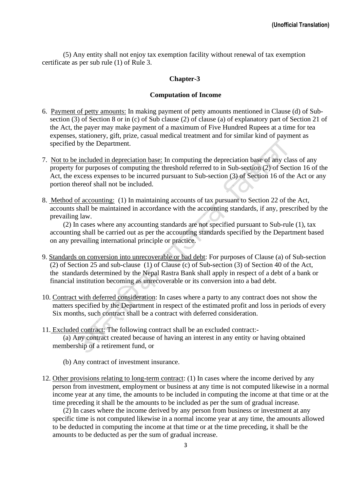(5) Any entity shall not enjoy tax exemption facility without renewal of tax exemption certificate as per sub rule (1) of Rule 3.

#### **Chapter-3**

#### **Computation of Income**

- 6. Payment of petty amounts: In making payment of petty amounts mentioned in Clause (d) of Subsection (3) of Section 8 or in (c) of Sub clause (2) of clause (a) of explanatory part of Section 21 of the Act, the payer may make payment of a maximum of Five Hundred Rupees at a time for tea expenses, stationery, gift, prize, casual medical treatment and for similar kind of payment as specified by the Department.
- 7. Not to be included in depreciation base: In computing the depreciation base of any class of any property for purposes of computing the threshold referred to in Sub-section (2) of Section 16 of the Act, the excess expenses to be incurred pursuant to Sub-section (3) of Section 16 of the Act or any portion thereof shall not be included.
- 8. Method of accounting: (1) In maintaining accounts of tax pursuant to Section 22 of the Act, accounts shall be maintained in accordance with the accounting standards, if any, prescribed by the prevailing law.

(2) In cases where any accounting standards are not specified pursuant to Sub-rule (1), tax accounting shall be carried out as per the accounting standards specified by the Department based on any prevailing international principle or practice.

- 9. Standards on conversion into unrecoverable or bad debt: For purposes of Clause (a) of Sub-section (2) of Section 25 and sub-clause (1) of Clause (c) of Sub-section (3) of Section 40 of the Act, the standards determined by the Nepal Rastra Bank shall apply in respect of a debt of a bank or financial institution becoming as unrecoverable or its conversion into a bad debt.
- 10. Contract with deferred consideration: In cases where a party to any contract does not show the matters specified by the Department in respect of the estimated profit and loss in periods of every Six months, such contract shall be a contract with deferred consideration.
- 11. Excluded contract: The following contract shall be an excluded contract:-

(a) Any contract created because of having an interest in any entity or having obtained membership of a retirement fund, or

- (b) Any contract of investment insurance.
- 12. Other provisions relating to long-term contract: (1) In cases where the income derived by any person from investment, employment or business at any time is not computed likewise in a normal income year at any time, the amounts to be included in computing the income at that time or at the time preceding it shall be the amounts to be included as per the sum of gradual increase.

(2) In cases where the income derived by any person from business or investment at any specific time is not computed likewise in a normal income year at any time, the amounts allowed to be deducted in computing the income at that time or at the time preceding, it shall be the amounts to be deducted as per the sum of gradual increase.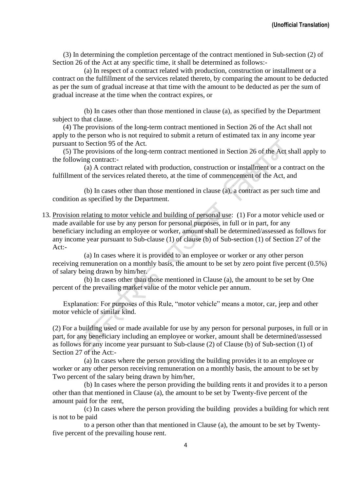(3) In determining the completion percentage of the contract mentioned in Sub-section (2) of Section 26 of the Act at any specific time, it shall be determined as follows:-

(a) In respect of a contract related with production, construction or installment or a contract on the fulfillment of the services related thereto, by comparing the amount to be deducted as per the sum of gradual increase at that time with the amount to be deducted as per the sum of gradual increase at the time when the contract expires, or

(b) In cases other than those mentioned in clause (a), as specified by the Department subject to that clause.

(4) The provisions of the long-term contract mentioned in Section 26 of the Act shall not apply to the person who is not required to submit a return of estimated tax in any income year pursuant to Section 95 of the Act.

(5) The provisions of the long-term contract mentioned in Section 26 of the Act shall apply to the following contract:-

(a) A contract related with production, construction or installment or a contract on the fulfillment of the services related thereto, at the time of commencement of the Act, and

(b) In cases other than those mentioned in clause (a), a contract as per such time and condition as specified by the Department.

13. Provision relating to motor vehicle and building of personal use: (1) For a motor vehicle used or made available for use by any person for personal purposes, in full or in part, for any beneficiary including an employee or worker, amount shall be determined/assessed as follows for any income year pursuant to Sub-clause (1) of clause (b) of Sub-section (1) of Section 27 of the Act:-

(a) In cases where it is provided to an employee or worker or any other person receiving remuneration on a monthly basis, the amount to be set by zero point five percent (0.5%) of salary being drawn by him/her.

(b) In cases other than those mentioned in Clause (a), the amount to be set by One percent of the prevailing market value of the motor vehicle per annum.

Explanation: For purposes of this Rule, "motor vehicle" means a motor, car, jeep and other motor vehicle of similar kind.

(2) For a building used or made available for use by any person for personal purposes, in full or in part, for any beneficiary including an employee or worker, amount shall be determined/assessed as follows for any income year pursuant to Sub-clause (2) of Clause (b) of Sub-section (1) of Section 27 of the Act:-

(a) In cases where the person providing the building provides it to an employee or worker or any other person receiving remuneration on a monthly basis, the amount to be set by Two percent of the salary being drawn by him/her,

(b) In cases where the person providing the building rents it and provides it to a person other than that mentioned in Clause (a), the amount to be set by Twenty-five percent of the amount paid for the rent,

(c) In cases where the person providing the building provides a building for which rent is not to be paid

to a person other than that mentioned in Clause (a), the amount to be set by Twentyfive percent of the prevailing house rent.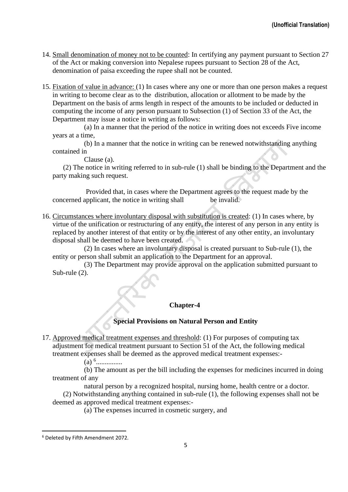- 14. Small denomination of money not to be counted: In certifying any payment pursuant to Section 27 of the Act or making conversion into Nepalese rupees pursuant to Section 28 of the Act, denomination of paisa exceeding the rupee shall not be counted.
- 15. Fixation of value in advance: (1) In cases where any one or more than one person makes a request in writing to become clear as to the distribution, allocation or allotment to be made by the Department on the basis of arms length in respect of the amounts to be included or deducted in computing the income of any person pursuant to Subsection (1) of Section 33 of the Act, the Department may issue a notice in writing as follows:

(a) In a manner that the period of the notice in writing does not exceeds Five income years at a time,

(b) In a manner that the notice in writing can be renewed notwithstanding anything contained in

Clause (a).

(2) The notice in writing referred to in sub-rule (1) shall be binding to the Department and the party making such request.

Provided that, in cases where the Department agrees to the request made by the concerned applicant, the notice in writing shall be invalid.

16. Circumstances where involuntary disposal with substitution is created: (1) In cases where, by virtue of the unification or restructuring of any entity, the interest of any person in any entity is replaced by another interest of that entity or by the interest of any other entity, an involuntary disposal shall be deemed to have been created.

(2) In cases where an involuntary disposal is created pursuant to Sub-rule (1), the entity or person shall submit an application to the Department for an approval.

(3) The Department may provide approval on the application submitted pursuant to Sub-rule (2).

#### **Chapter-4**

#### **Special Provisions on Natural Person and Entity**

17. Approved medical treatment expenses and threshold: (1) For purposes of computing tax adjustment for medical treatment pursuant to Section 51 of the Act, the following medical treatment expenses shall be deemed as the approved medical treatment expenses:-

(a) <sup>6</sup> ...............

(b) The amount as per the bill including the expenses for medicines incurred in doing treatment of any

natural person by a recognized hospital, nursing home, health centre or a doctor. (2) Notwithstanding anything contained in sub-rule (1), the following expenses shall not be deemed as approved medical treatment expenses:-

(a) The expenses incurred in cosmetic surgery, and

<sup>6</sup> Deleted by Fifth Amendment 2072.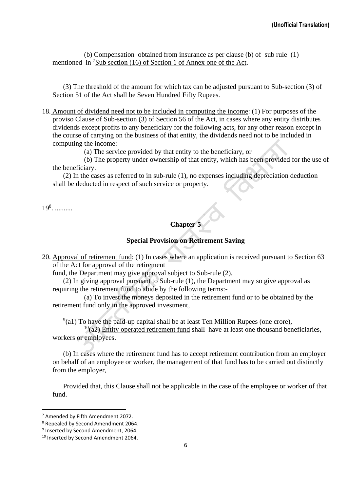(b) Compensation obtained from insurance as per clause (b) of sub rule (1) mentioned in <sup>7</sup>Sub section (16) of Section 1 of Annex one of the Act.

(3) The threshold of the amount for which tax can be adjusted pursuant to Sub-section (3) of Section 51 of the Act shall be Seven Hundred Fifty Rupees.

18. Amount of dividend need not to be included in computing the income: (1) For purposes of the proviso Clause of Sub-section (3) of Section 56 of the Act, in cases where any entity distributes dividends except profits to any beneficiary for the following acts, for any other reason except in the course of carrying on the business of that entity, the dividends need not to be included in computing the income:-

(a) The service provided by that entity to the beneficiary, or

(b) The property under ownership of that entity, which has been provided for the use of the beneficiary.

(2) In the cases as referred to in sub-rule (1), no expenses including depreciation deduction shall be deducted in respect of such service or property.

19<sup>8</sup> . ..........

# **Chapter-5**

## **Special Provision on Retirement Saving**

20. Approval of retirement fund: (1) In cases where an application is received pursuant to Section 63 of the Act for approval of the retirement

fund, the Department may give approval subject to Sub-rule (2).

(2) In giving approval pursuant to Sub-rule (1), the Department may so give approval as requiring the retirement fund to abide by the following terms:-

(a) To invest the moneys deposited in the retirement fund or to be obtained by the retirement fund only in the approved investment,

 $9(41)$  To have the paid-up capital shall be at least Ten Million Rupees (one crore),

 $10(a2)$  Entity operated retirement fund shall have at least one thousand beneficiaries, workers or employees.

(b) In cases where the retirement fund has to accept retirement contribution from an employer on behalf of an employee or worker, the management of that fund has to be carried out distinctly from the employer,

Provided that, this Clause shall not be applicable in the case of the employee or worker of that fund.

<sup>7</sup> Amended by Fifth Amendment 2072.

<sup>8</sup> Repealed by Second Amendment 2064.

<sup>&</sup>lt;sup>9</sup> Inserted by Second Amendment, 2064.

<sup>&</sup>lt;sup>10</sup> Inserted by Second Amendment 2064.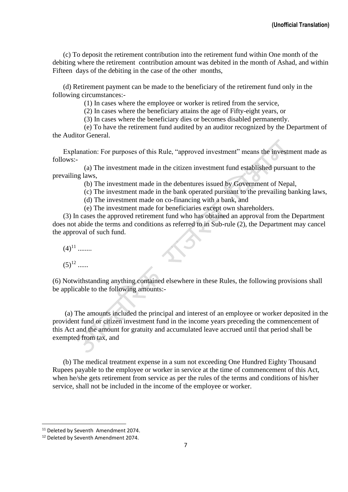(c) To deposit the retirement contribution into the retirement fund within One month of the debiting where the retirement contribution amount was debited in the month of Ashad, and within Fifteen days of the debiting in the case of the other months,

(d) Retirement payment can be made to the beneficiary of the retirement fund only in the following circumstances:-

(1) In cases where the employee or worker is retired from the service,

(2) In cases where the beneficiary attains the age of Fifty-eight years, or

(3) In cases where the beneficiary dies or becomes disabled permanently.

(e) To have the retirement fund audited by an auditor recognized by the Department of the Auditor General.

Explanation: For purposes of this Rule, "approved investment" means the investment made as follows:-

(a) The investment made in the citizen investment fund established pursuant to the prevailing laws,

(b) The investment made in the debentures issued by Government of Nepal,

(c) The investment made in the bank operated pursuant to the prevailing banking laws,

(d) The investment made on co-financing with a bank, and

(e) The investment made for beneficiaries except own shareholders.

(3) In cases the approved retirement fund who has obtained an approval from the Department does not abide the terms and conditions as referred to in Sub-rule (2), the Department may cancel the approval of such fund.

 $(4)^{11}$  ........

 $(5)^{12}$  ......

(6) Notwithstanding anything contained elsewhere in these Rules, the following provisions shall be applicable to the following amounts:-

(a) The amounts included the principal and interest of an employee or worker deposited in the provident fund or citizen investment fund in the income years preceding the commencement of this Act and the amount for gratuity and accumulated leave accrued until that period shall be exempted from tax, and

(b) The medical treatment expense in a sum not exceeding One Hundred Eighty Thousand Rupees payable to the employee or worker in service at the time of commencement of this Act, when he/she gets retirement from service as per the rules of the terms and conditions of his/her service, shall not be included in the income of the employee or worker.

<sup>&</sup>lt;sup>11</sup> Deleted by Seventh Amendment 2074.

<sup>&</sup>lt;sup>12</sup> Deleted by Seventh Amendment 2074.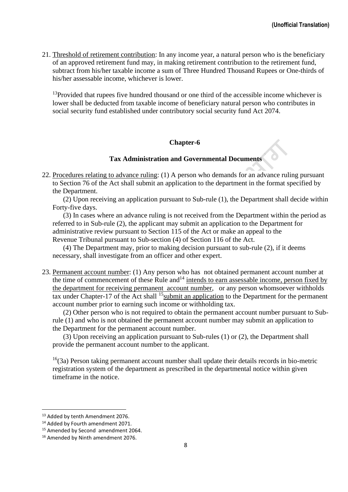21. Threshold of retirement contribution: In any income year, a natural person who is the beneficiary of an approved retirement fund may, in making retirement contribution to the retirement fund, subtract from his/her taxable income a sum of Three Hundred Thousand Rupees or One-thirds of his/her assessable income, whichever is lower.

 $13$ Provided that rupees five hundred thousand or one third of the accessible income whichever is lower shall be deducted from taxable income of beneficiary natural person who contributes in social security fund established under contributory social security fund Act 2074.

## **Chapter-6**

# **Tax Administration and Governmental Documents**

22. Procedures relating to advance ruling: (1) A person who demands for an advance ruling pursuant to Section 76 of the Act shall submit an application to the department in the format specified by the Department.

(2) Upon receiving an application pursuant to Sub-rule (1), the Department shall decide within Forty-five days.

(3) In cases where an advance ruling is not received from the Department within the period as referred to in Sub-rule (2), the applicant may submit an application to the Department for administrative review pursuant to Section 115 of the Act or make an appeal to the Revenue Tribunal pursuant to Sub-section (4) of Section 116 of the Act.

(4) The Department may, prior to making decision pursuant to sub-rule (2), if it deems necessary, shall investigate from an officer and other expert.

23. Permanent account number: (1) Any person who has not obtained permanent account number at the time of commencement of these Rule and<sup>14</sup> intends to earn assessable income, person fixed by the department for receiving permanent account number, or any person whomsoever withholds tax under Chapter-17 of the Act shall <sup>15</sup> submit an application to the Department for the permanent account number prior to earning such income or withholding tax.

(2) Other person who is not required to obtain the permanent account number pursuant to Subrule (1) and who is not obtained the permanent account number may submit an application to the Department for the permanent account number.

(3) Upon receiving an application pursuant to Sub-rules (1) or (2), the Department shall provide the permanent account number to the applicant.

 $16(3a)$  Person taking permanent account number shall update their details records in bio-metric registration system of the department as prescribed in the departmental notice within given timeframe in the notice.

<sup>13</sup> Added by tenth Amendment 2076.

<sup>&</sup>lt;sup>14</sup> Added by Fourth amendment 2071.

<sup>&</sup>lt;sup>15</sup> Amended by Second amendment 2064. <sup>16</sup> Amended by Ninth amendment 2076.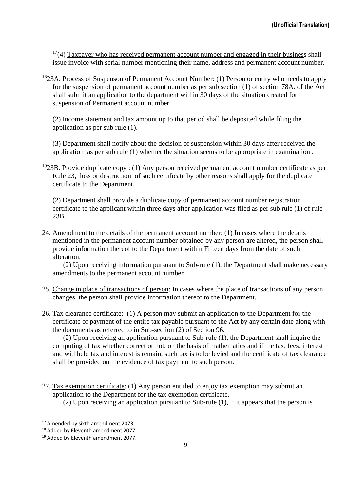$17(4)$  Taxpayer who has received permanent account number and engaged in their business shall issue invoice with serial number mentioning their name, address and permanent account number.

 $1823A$ . Process of Suspenson of Permanent Account Number: (1) Person or entity who needs to apply for the suspension of permanent account number as per sub section (1) of section 78A. of the Act shall submit an application to the department within 30 days of the situation created for suspension of Permanent account number.

(2) Income statement and tax amount up to that period shall be deposited while filing the application as per sub rule (1).

(3) Department shall notify about the decision of suspension within 30 days after received the application as per sub rule (1) whether the situation seems to be appropriate in examination .

<sup>19</sup>23B. Provide duplicate copy : (1) Any person received permanent account number certificate as per Rule 23, loss or destruction of such certificate by other reasons shall apply for the duplicate certificate to the Department.

(2) Department shall provide a duplicate copy of permanent account number registration certificate to the applicant within three days after application was filed as per sub rule (1) of rule 23B.

24. Amendment to the details of the permanent account number: (1) In cases where the details mentioned in the permanent account number obtained by any person are altered, the person shall provide information thereof to the Department within Fifteen days from the date of such alteration.

(2) Upon receiving information pursuant to Sub-rule (1), the Department shall make necessary amendments to the permanent account number.

- 25. Change in place of transactions of person: In cases where the place of transactions of any person changes, the person shall provide information thereof to the Department.
- 26. Tax clearance certificate: (1) A person may submit an application to the Department for the certificate of payment of the entire tax payable pursuant to the Act by any certain date along with the documents as referred to in Sub-section (2) of Section 96.

(2) Upon receiving an application pursuant to Sub-rule (1), the Department shall inquire the computing of tax whether correct or not, on the basis of mathematics and if the tax, fees, interest and withheld tax and interest is remain, such tax is to be levied and the certificate of tax clearance shall be provided on the evidence of tax payment to such person.

27. Tax exemption certificate: (1) Any person entitled to enjoy tax exemption may submit an application to the Department for the tax exemption certificate.

(2) Upon receiving an application pursuant to Sub-rule (1), if it appears that the person is

<sup>&</sup>lt;sup>17</sup> Amended by sixth amendment 2073.

<sup>&</sup>lt;sup>18</sup> Added by Eleventh amendment 2077.

<sup>&</sup>lt;sup>19</sup> Added by Eleventh amendment 2077.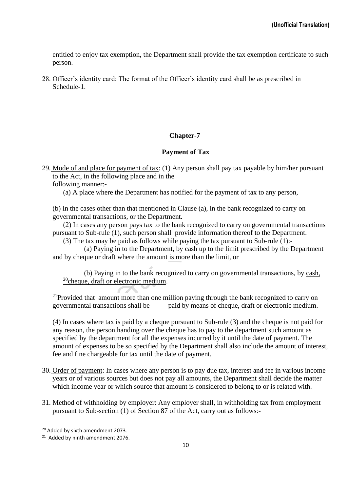entitled to enjoy tax exemption, the Department shall provide the tax exemption certificate to such person.

28. Officer's identity card: The format of the Officer's identity card shall be as prescribed in Schedule-1.

# **Chapter-7**

## **Payment of Tax**

29. Mode of and place for payment of tax: (1) Any person shall pay tax payable by him/her pursuant to the Act, in the following place and in the

following manner:-

(a) A place where the Department has notified for the payment of tax to any person,

(b) In the cases other than that mentioned in Clause (a), in the bank recognized to carry on governmental transactions, or the Department.

(2) In cases any person pays tax to the bank recognized to carry on governmental transactions pursuant to Sub-rule (1), such person shall provide information thereof to the Department.

(3) The tax may be paid as follows while paying the tax pursuant to Sub-rule (1):-

(a) Paying in to the Department, by cash up to the limit prescribed by the Department and by cheque or draft where the amount is more than the limit, or

(b) Paying in to the bank recognized to carry on governmental transactions, by cash, <sup>20</sup>cheque, draft or electronic medium.

 $21$ Provided that amount more than one million paying through the bank recognized to carry on governmental transactions shall be paid by means of cheque, draft or electronic medium.

(4) In cases where tax is paid by a cheque pursuant to Sub-rule (3) and the cheque is not paid for any reason, the person handing over the cheque has to pay to the department such amount as specified by the department for all the expenses incurred by it until the date of payment. The amount of expenses to be so specified by the Department shall also include the amount of interest, fee and fine chargeable for tax until the date of payment.

- 30. Order of payment: In cases where any person is to pay due tax, interest and fee in various income years or of various sources but does not pay all amounts, the Department shall decide the matter which income year or which source that amount is considered to belong to or is related with.
- 31. Method of withholding by employer: Any employer shall, in withholding tax from employment pursuant to Sub-section (1) of Section 87 of the Act, carry out as follows:-

<sup>20</sup> Added by sixth amendment 2073.

<sup>&</sup>lt;sup>21</sup> Added by ninth amendment 2076.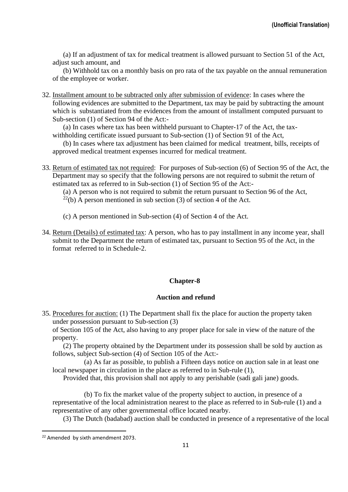(a) If an adjustment of tax for medical treatment is allowed pursuant to Section 51 of the Act, adjust such amount, and

(b) Withhold tax on a monthly basis on pro rata of the tax payable on the annual remuneration of the employee or worker.

32. Installment amount to be subtracted only after submission of evidence: In cases where the following evidences are submitted to the Department, tax may be paid by subtracting the amount which is substantiated from the evidences from the amount of installment computed pursuant to Sub-section (1) of Section 94 of the Act:-

(a) In cases where tax has been withheld pursuant to Chapter-17 of the Act, the taxwithholding certificate issued pursuant to Sub-section (1) of Section 91 of the Act,

(b) In cases where tax adjustment has been claimed for medical treatment, bills, receipts of approved medical treatment expenses incurred for medical treatment.

33. Return of estimated tax not required: For purposes of Sub-section (6) of Section 95 of the Act, the Department may so specify that the following persons are not required to submit the return of estimated tax as referred to in Sub-section (1) of Section 95 of the Act:-

(a) A person who is not required to submit the return pursuant to Section 96 of the Act,

- $^{22}$ (b) A person mentioned in sub section (3) of section 4 of the Act.
- (c) A person mentioned in Sub-section (4) of Section 4 of the Act.
- 34. Return (Details) of estimated tax: A person, who has to pay installment in any income year, shall submit to the Department the return of estimated tax, pursuant to Section 95 of the Act, in the format referred to in Schedule-2.

# **Chapter-8**

#### **Auction and refund**

35. Procedures for auction: (1) The Department shall fix the place for auction the property taken under possession pursuant to Sub-section (3)

of Section 105 of the Act, also having to any proper place for sale in view of the nature of the property.

(2) The property obtained by the Department under its possession shall be sold by auction as follows, subject Sub-section (4) of Section 105 of the Act:-

(a) As far as possible, to publish a Fifteen days notice on auction sale in at least one local newspaper in circulation in the place as referred to in Sub-rule (1),

Provided that, this provision shall not apply to any perishable (sadi gali jane) goods.

(b) To fix the market value of the property subject to auction, in presence of a representative of the local administration nearest to the place as referred to in Sub-rule (1) and a representative of any other governmental office located nearby.

(3) The Dutch (badabad) auction shall be conducted in presence of a representative of the local

<sup>&</sup>lt;sup>22</sup> Amended by sixth amendment 2073.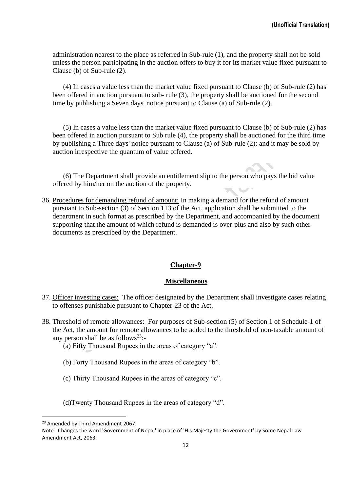administration nearest to the place as referred in Sub-rule (1), and the property shall not be sold unless the person participating in the auction offers to buy it for its market value fixed pursuant to Clause (b) of Sub-rule (2).

(4) In cases a value less than the market value fixed pursuant to Clause (b) of Sub-rule (2) has been offered in auction pursuant to sub- rule (3), the property shall be auctioned for the second time by publishing a Seven days' notice pursuant to Clause (a) of Sub-rule (2).

(5) In cases a value less than the market value fixed pursuant to Clause (b) of Sub-rule (2) has been offered in auction pursuant to Sub rule (4), the property shall be auctioned for the third time by publishing a Three days' notice pursuant to Clause (a) of Sub-rule (2); and it may be sold by auction irrespective the quantum of value offered.

(6) The Department shall provide an entitlement slip to the person who pays the bid value offered by him/her on the auction of the property.

36. Procedures for demanding refund of amount: In making a demand for the refund of amount pursuant to Sub-section (3) of Section 113 of the Act, application shall be submitted to the department in such format as prescribed by the Department, and accompanied by the document supporting that the amount of which refund is demanded is over-plus and also by such other documents as prescribed by the Department.

#### **Chapter-9**

#### **Miscellaneous**

- 37. Officer investing cases: The officer designated by the Department shall investigate cases relating to offenses punishable pursuant to Chapter-23 of the Act.
- 38. Threshold of remote allowances: For purposes of Sub-section (5) of Section 1 of Schedule-1 of the Act, the amount for remote allowances to be added to the threshold of non-taxable amount of any person shall be as follows<sup>23</sup>:-
	- (a) Fifty Thousand Rupees in the areas of category "a".
	- (b) Forty Thousand Rupees in the areas of category "b".
	- (c) Thirty Thousand Rupees in the areas of category "c".

(d)Twenty Thousand Rupees in the areas of category "d".

<sup>&</sup>lt;sup>23</sup> Amended by Third Amendment 2067.

Note: Changes the word 'Government of Nepal' in place of 'His Majesty the Government' by Some Nepal Law Amendment Act, 2063.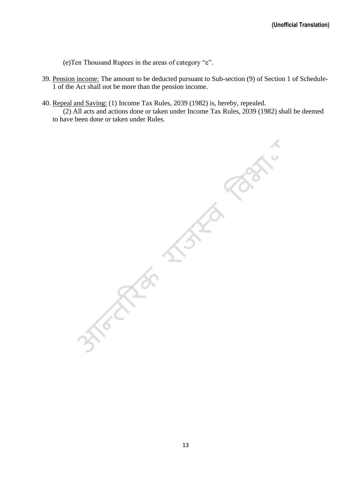(e)Ten Thousand Rupees in the areas of category "e".

- 39. Pension income: The amount to be deducted pursuant to Sub-section (9) of Section 1 of Schedule-1 of the Act shall not be more than the pension income.
- 40. Repeal and Saving: (1) Income Tax Rules, 2039 (1982) is, hereby, repealed. (2) All acts and actions done or taken under Income Tax Rules, 2039 (1982) shall be deemed to have been done or taken under Rules.

 $\sum_{i=1}^n$ Free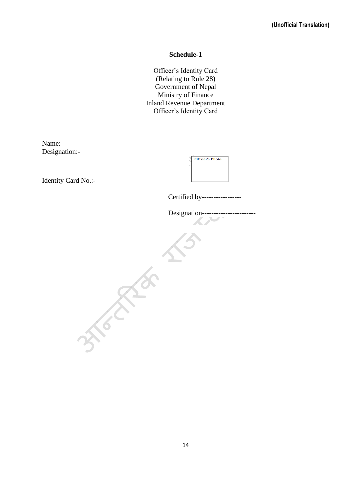### **Schedule-1**

Officer's Identity Card (Relating to Rule 28) Government of Nepal Ministry of Finance Inland Revenue Department Officer's Identity Card

Name:- Designation:-

Identity Card No.:-

| <b>Officer's Photo</b> |
|------------------------|
|                        |
|                        |
|                        |

Certified by-----------------

Designation----------------------- $\frac{1}{3} \left( \frac{1}{3} \right)^{1/3}$